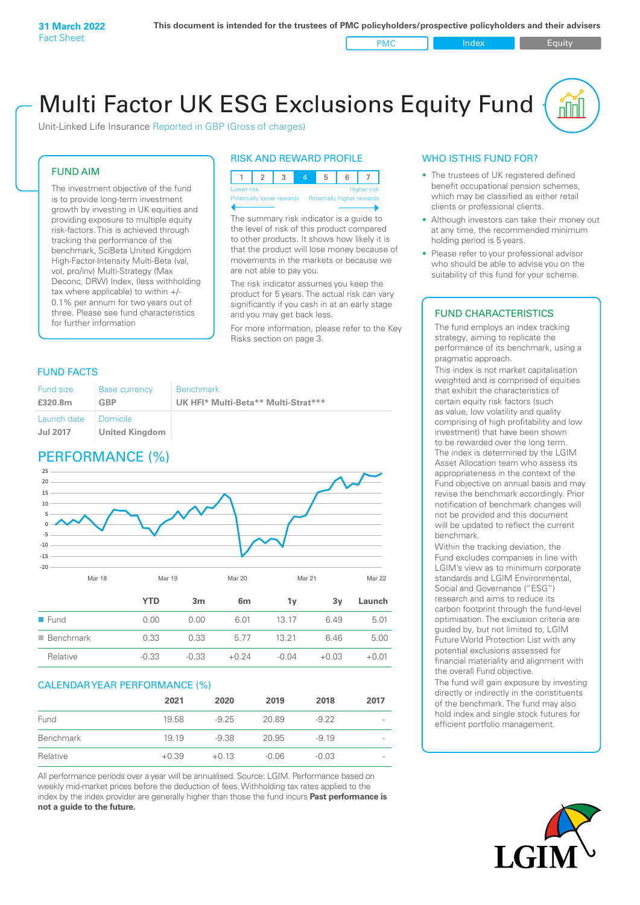PMC Index PMC Equity

# Multi Factor UK ESG Exclusions Equity Fund

Unit-Linked Life Insurance Reported in GBP (Gross of charges)

#### FUND AIM

The investment objective of the fund is to provide long-term investment growth by investing in UK equities and providing exposure to multiple equity risk-factors. This is achieved through tracking the performance of the benchmark, SciBeta United Kingdom High-Factor-Intensity Multi-Beta (val, vol, pro/inv) Multi-Strategy (Max Deconc, DRW) Index, (less withholding tax where applicable) to within +/- 0.1% per annum for two years out of three. Please see fund characteristics for further information

# RISK AND REWARD PROFILE



The summary risk indicator is a quide to the level of risk of this product compared to other products. It shows how likely it is that the product will lose money because of movements in the markets or because we are not able to pay you.

The risk indicator assumes you keep the product for 5 years. The actual risk can vary significantly if you cash in at an early stage and you may get back less.

For more information, please refer to the Key Risks section on page 3.

# FUND FACTS

| Fund size                                 | <b>Base currency</b>  | <b>Benchmark</b>                    |
|-------------------------------------------|-----------------------|-------------------------------------|
| £320.8m                                   | GBP                   | UK HFI* Multi-Beta** Multi-Strat*** |
| Launch date   Domicile<br><b>Jul 2017</b> | <b>United Kingdom</b> |                                     |

# PERFORMANCE (%)



# CALENDAR YEAR PERFORMANCE (%)

|           | 2021    | 2020    | 2019    | 2018    | 2017                     |
|-----------|---------|---------|---------|---------|--------------------------|
| Fund      | 19.58   | $-9.25$ | 20.89   | $-9.22$ | $\qquad \qquad$          |
| Benchmark | 19 19   | -9.38   | 20.95   | $-919$  | $\overline{\phantom{a}}$ |
| Relative  | $+0.39$ | $+0.13$ | $-0.06$ | $-0.03$ | $\qquad \qquad$          |

Relative -0.33 -0.33 +0.24 -0.04 +0.03 +0.01

All performance periods over a year will be annualised. Source: LGIM. Performance based on weekly mid-market prices before the deduction of fees. Withholding tax rates applied to the index by the index provider are generally higher than those the fund incurs **Past performance is not a guide to the future.**

# WHO IS THIS FUND FOR?

- The trustees of UK registered defined benefit occupational pension schemes, which may be classified as either retail clients or professional clients.
- Although investors can take their money out at any time, the recommended minimum holding period is 5 years.
- Please refer to your professional advisor who should be able to advise you on the suitability of this fund for your scheme.

# FUND CHARACTERISTICS

The fund employs an index tracking strategy, aiming to replicate the performance of its benchmark, using a pragmatic approach.

This index is not market capitalisation weighted and is comprised of equities that exhibit the characteristics of certain equity risk factors (such as value, low volatility and quality comprising of high profitability and low investment) that have been shown to be rewarded over the long term. The index is determined by the LGIM Asset Allocation team who assess its appropriateness in the context of the Fund objective on annual basis and may revise the benchmark accordingly. Prior notification of benchmark changes will not be provided and this document will be updated to reflect the current benchmark.

Within the tracking deviation, the Fund excludes companies in line with LGIM's view as to minimum corporate standards and LGIM Environmental, Social and Governance ("ESG") research and aims to reduce its carbon footprint through the fund-level optimisation. The exclusion criteria are guided by, but not limited to, LGIM Future World Protection List with any potential exclusions assessed for financial materiality and alignment with the overall Fund objective.

The fund will gain exposure by investing directly or indirectly in the constituents of the benchmark. The fund may also hold index and single stock futures for efficient portfolio management.

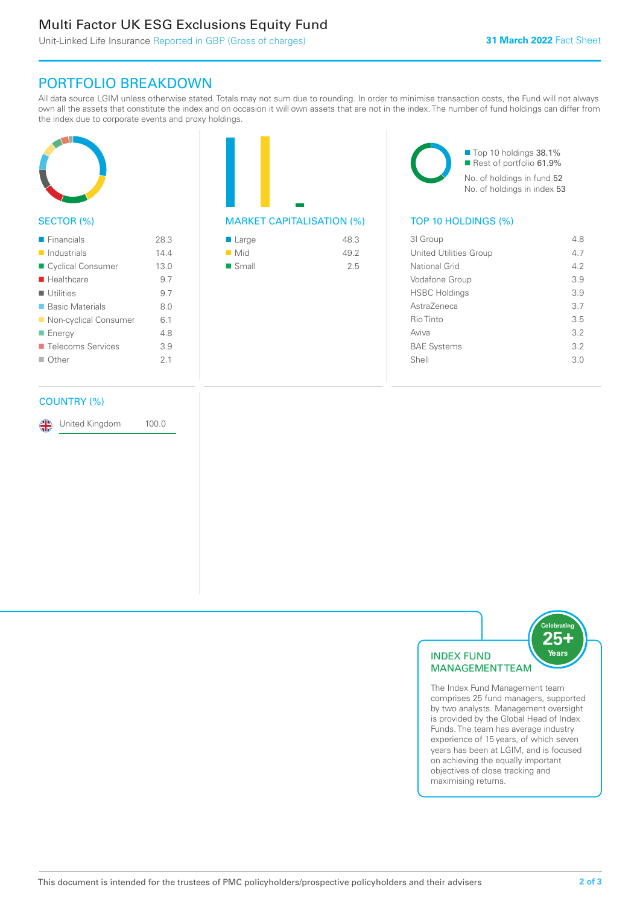# Multi Factor UK ESG Exclusions Equity Fund

# PORTFOLIO BREAKDOWN

All data source LGIM unless otherwise stated. Totals may not sum due to rounding. In order to minimise transaction costs, the Fund will not always own all the assets that constitute the index and on occasion it will own assets that are not in the index. The number of fund holdings can differ from the index due to corporate events and proxy holdings.



# SECTOR (%)

| $\blacksquare$ Financials  | 28.3           |
|----------------------------|----------------|
| $\blacksquare$ Industrials | 14.4           |
| ■ Cyclical Consumer        | 13.0           |
| $\blacksquare$ Healthcare  | 9.7            |
| $\blacksquare$ Utilities   | 9.7            |
| ■ Basic Materials          | 8.0            |
| ■ Non-cyclical Consumer    | 6.1            |
| ■ Energy                   | 4.8            |
| ■ Telecoms Services        | 3.9            |
| $\blacksquare$ Other       | 2 <sub>1</sub> |
|                            |                |

# MARKET CAPITALISATION (%) TOP 10 HOLDINGS (%)

| ■ Large              | 48.3 |
|----------------------|------|
| $\blacksquare$ Mid   | 49.2 |
| $\blacksquare$ Small | 2.5  |

■ Top 10 holdings 38.1% Rest of portfolio 61.9% No. of holdings in fund 52 No. of holdings in index 53

| 31 Group                      | 48  |
|-------------------------------|-----|
| <b>United Utilities Group</b> | 47  |
| National Grid                 | 42  |
| Vodafone Group                | 3.9 |
| <b>HSBC Holdings</b>          | 3.9 |
| AstraZeneca                   | 3.7 |
| Rio Tinto                     | 35  |
| Aviva                         | 3.2 |
| <b>BAE Systems</b>            | 3.2 |
| Shell                         | 3.0 |
|                               |     |

# COUNTRY (%)

United Kingdom 100.0



The Index Fund Management team comprises 25 fund managers, supported by two analysts. Management oversight is provided by the Global Head of Index Funds. The team has average industry experience of 15 years, of which seven years has been at LGIM, and is focused on achieving the equally important objectives of close tracking and maximising returns.